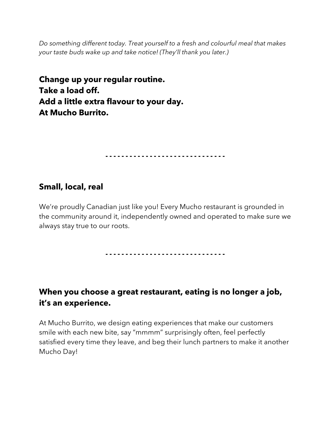*Do something different today. Treat yourself to a fresh and colourful meal that makes your taste buds wake up and take notice! (They'll thank you later.)*

**Change up your regular routine. Take a load off. Add a little extra flavour to your day. At Mucho Burrito.**

**- - - - - - - - - - - - - - - - - - - - - - - - - - - - - -**

#### **Small, local, real**

We're proudly Canadian just like you! Every Mucho restaurant is grounded in the community around it, independently owned and operated to make sure we always stay true to our roots.

**- - - - - - - - - - - - - - - - - - - - - - - - - - - - - -**

## **When you choose a great restaurant, eating is no longer a job, it's an experience.**

At Mucho Burrito, we design eating experiences that make our customers smile with each new bite, say "mmmm" surprisingly often, feel perfectly satisfied every time they leave, and beg their lunch partners to make it another Mucho Day!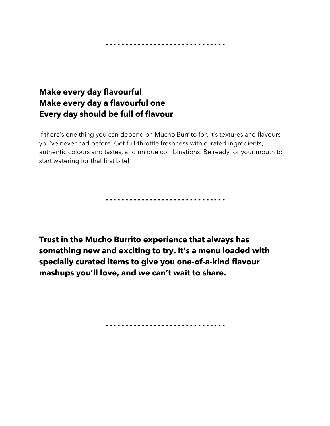**- - - - - - - - - - - - - - - - - - - - - - - - - - - - - -**

## **Make every day flavourful Make every day a flavourful one Every day should be full of flavour**

If there's one thing you can depend on Mucho Burrito for, it's textures and flavours you've never had before. Get full-throttle freshness with curated ingredients, authentic colours and tastes, and unique combinations. Be ready for your mouth to start watering for that first bite!

**- - - - - - - - - - - - - - - - - - - - - - - - - - - - - -**

**Trust in the Mucho Burrito experience that always has something new and exciting to try. It's a menu loaded with specially curated items to give you one-of-a-kind flavour mashups you'll love, and we can't wait to share.**

**- - - - - - - - - - - - - - - - - - - - - - - - - - - - - -**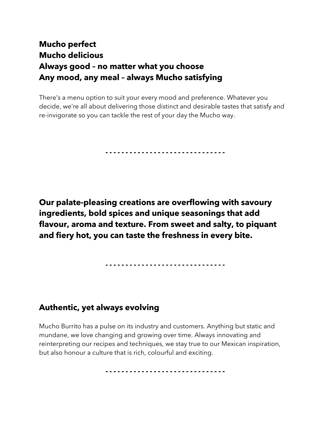# **Mucho perfect Mucho delicious Always good – no matter what you choose Any mood, any meal – always Mucho satisfying**

There's a menu option to suit your every mood and preference. Whatever you decide, we're all about delivering those distinct and desirable tastes that satisfy and re-invigorate so you can tackle the rest of your day the Mucho way.

**- - - - - - - - - - - - - - - - - - - - - - - - - - - - - -**

**Our palate-pleasing creations are overflowing with savoury ingredients, bold spices and unique seasonings that add flavour, aroma and texture. From sweet and salty, to piquant and fiery hot, you can taste the freshness in every bite.**

**- - - - - - - - - - - - - - - - - - - - - - - - - - - - - -**

### **Authentic, yet always evolving**

Mucho Burrito has a pulse on its industry and customers. Anything but static and mundane, we love changing and growing over time. Always innovating and reinterpreting our recipes and techniques, we stay true to our Mexican inspiration, but also honour a culture that is rich, colourful and exciting.

**- - - - - - - - - - - - - - - - - - - - - - - - - - - - - -**